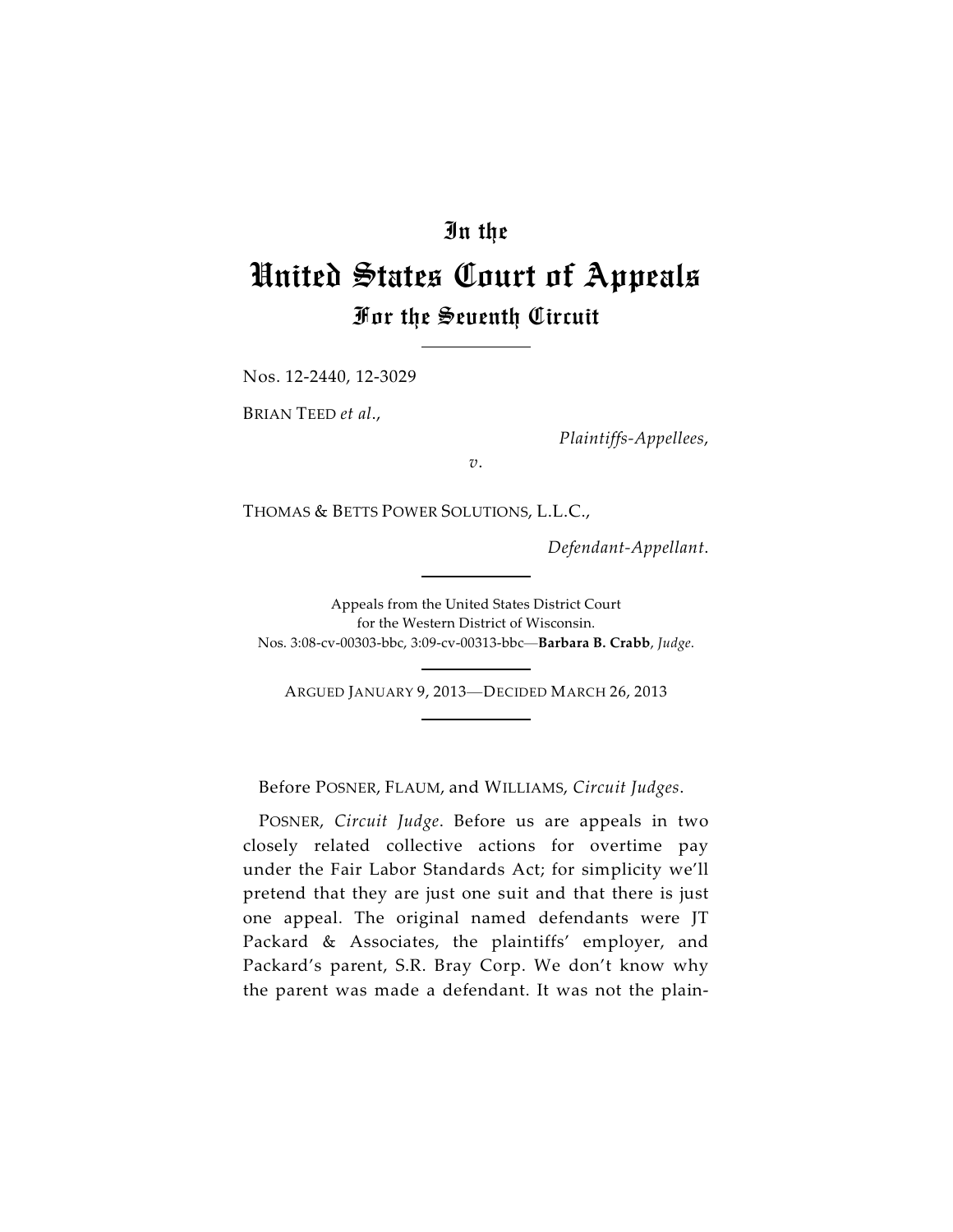## In the

## United States Court of Appeals For the Seventh Circuit

Nos. 12-2440, 12-3029

BRIAN TEED *et al*.,

*Plaintiffs-Appellees*,

*v*.

THOMAS & BETTS POWER SOLUTIONS, L.L.C.,

*Defendant-Appellant*.

Appeals from the United States District Court for the Western District of Wisconsin. Nos. 3:08-cv-00303-bbc, 3:09-cv-00313-bbc—**Barbara B. Crabb**, *Judge*.

ARGUED JANUARY 9, 2013—DECIDED MARCH 26, 2013

Before POSNER, FLAUM, and WILLIAMS, *Circuit Judges*.

POSNER, *Circuit Judge*. Before us are appeals in two closely related collective actions for overtime pay under the Fair Labor Standards Act; for simplicity we'll pretend that they are just one suit and that there is just one appeal. The original named defendants were JT Packard & Associates, the plaintiffs' employer, and Packard's parent, S.R. Bray Corp. We don't know why the parent was made a defendant. It was not the plain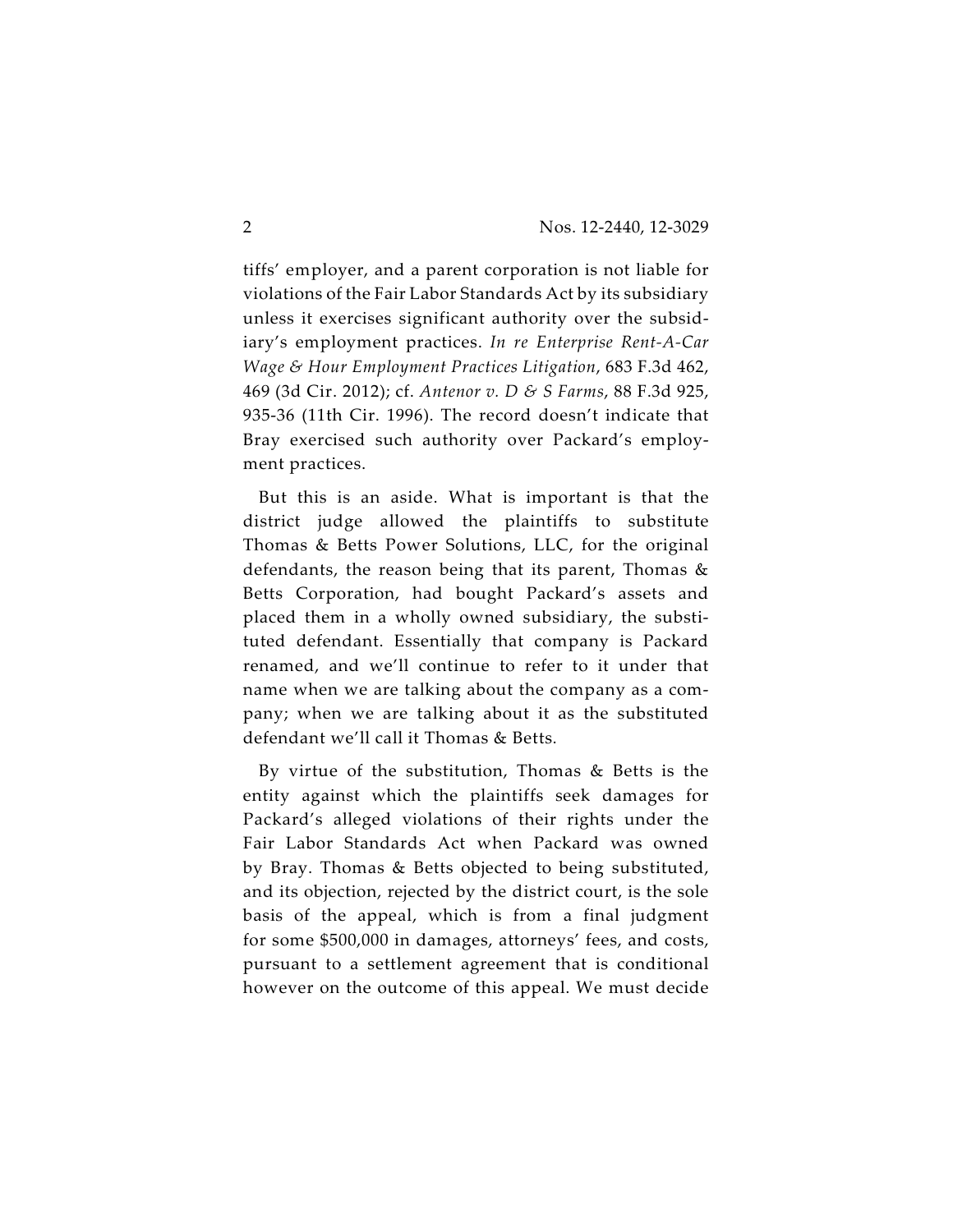tiffs' employer, and a parent corporation is not liable for violations of the Fair Labor Standards Act by its subsidiary unless it exercises significant authority over the subsidiary's employment practices. *In re Enterprise Rent-A-Car Wage & Hour Employment Practices Litigation*, 683 F.3d 462, 469 (3d Cir. 2012); cf. *Antenor v. D & S Farms*, 88 F.3d 925, 935-36 (11th Cir. 1996). The record doesn't indicate that Bray exercised such authority over Packard's employment practices.

But this is an aside. What is important is that the district judge allowed the plaintiffs to substitute Thomas & Betts Power Solutions, LLC, for the original defendants, the reason being that its parent, Thomas & Betts Corporation, had bought Packard's assets and placed them in a wholly owned subsidiary, the substituted defendant. Essentially that company is Packard renamed, and we'll continue to refer to it under that name when we are talking about the company as a company; when we are talking about it as the substituted defendant we'll call it Thomas & Betts.

By virtue of the substitution, Thomas & Betts is the entity against which the plaintiffs seek damages for Packard's alleged violations of their rights under the Fair Labor Standards Act when Packard was owned by Bray. Thomas & Betts objected to being substituted, and its objection, rejected by the district court, is the sole basis of the appeal, which is from a final judgment for some \$500,000 in damages, attorneys' fees, and costs, pursuant to a settlement agreement that is conditional however on the outcome of this appeal. We must decide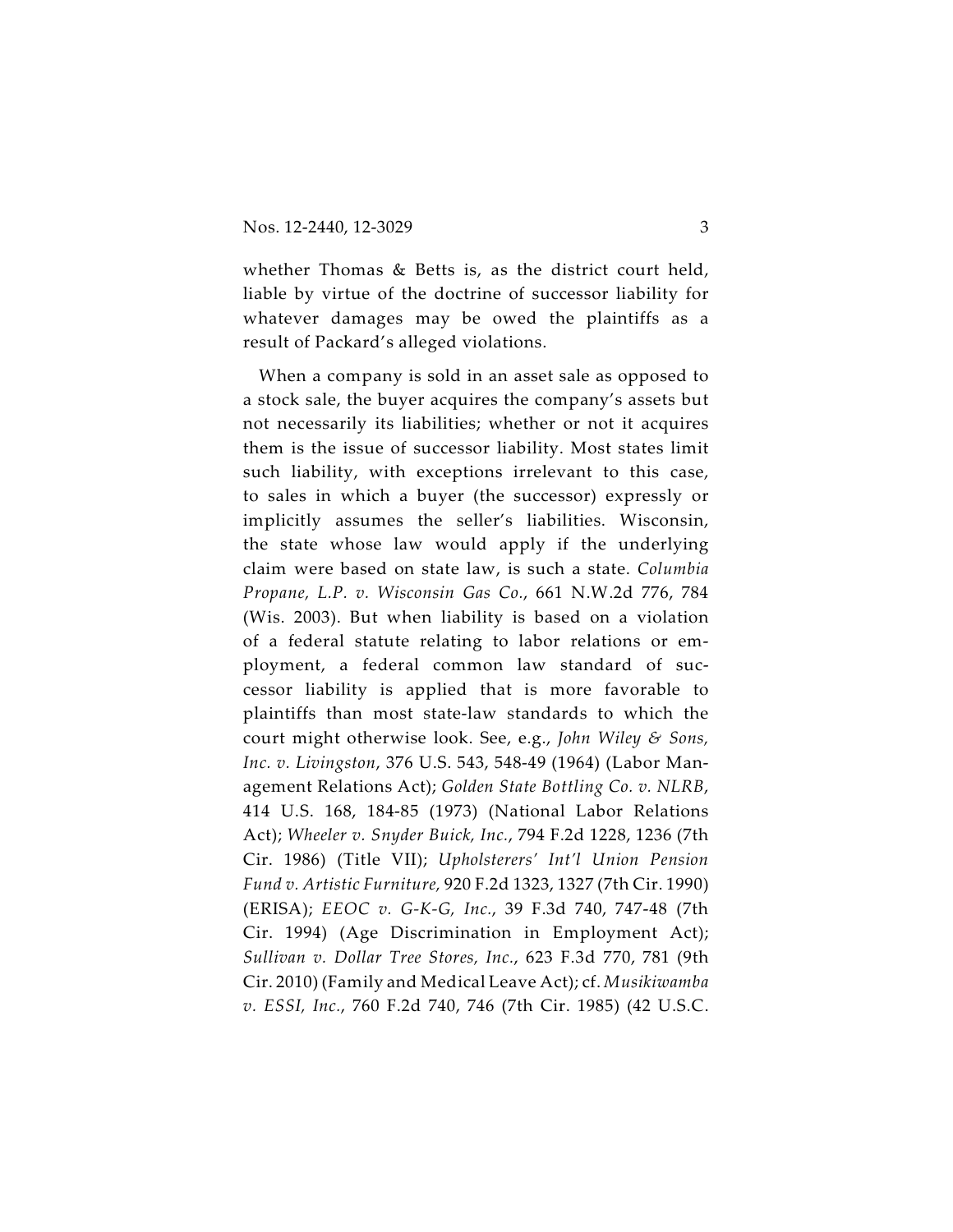whether Thomas & Betts is, as the district court held, liable by virtue of the doctrine of successor liability for whatever damages may be owed the plaintiffs as a result of Packard's alleged violations.

When a company is sold in an asset sale as opposed to a stock sale, the buyer acquires the company's assets but not necessarily its liabilities; whether or not it acquires them is the issue of successor liability. Most states limit such liability, with exceptions irrelevant to this case, to sales in which a buyer (the successor) expressly or implicitly assumes the seller's liabilities. Wisconsin, the state whose law would apply if the underlying claim were based on state law, is such a state. *Columbia Propane, L.P. v. Wisconsin Gas Co.*, 661 N.W.2d 776, 784 (Wis. 2003). But when liability is based on a violation of a federal statute relating to labor relations or employment, a federal common law standard of successor liability is applied that is more favorable to plaintiffs than most state-law standards to which the court might otherwise look. See, e.g., *John Wiley & Sons, Inc. v. Livingston*, 376 U.S. 543, 548-49 (1964) (Labor Management Relations Act); *Golden State Bottling Co. v. NLRB*, 414 U.S. 168, 184-85 (1973) (National Labor Relations Act); *Wheeler v. Snyder Buick, Inc.*, 794 F.2d 1228, 1236 (7th Cir. 1986) (Title VII); *Upholsterers' Int'l Union Pension Fund v. Artistic Furniture,* 920 F.2d 1323, 1327 (7th Cir. 1990) (ERISA); *EEOC v. G-K-G, Inc.*, 39 F.3d 740, 747-48 (7th Cir. 1994) (Age Discrimination in Employment Act); *Sullivan v. Dollar Tree Stores, Inc.*, 623 F.3d 770, 781 (9th Cir. 2010) (Family and Medical Leave Act); cf. *Musikiwamba v. ESSI, Inc.*, 760 F.2d 740, 746 (7th Cir. 1985) (42 U.S.C.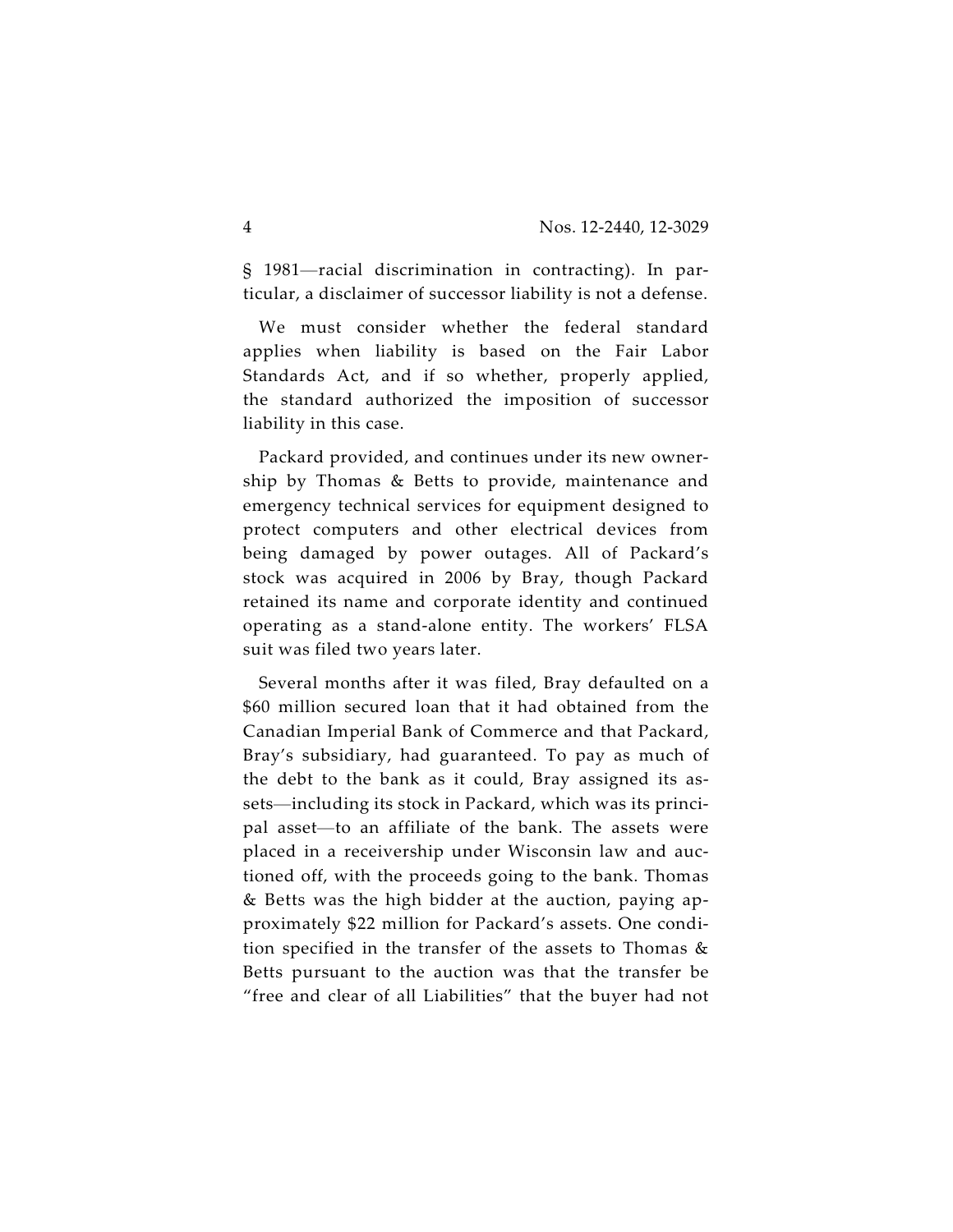§ 1981—racial discrimination in contracting). In particular, a disclaimer of successor liability is not a defense.

We must consider whether the federal standard applies when liability is based on the Fair Labor Standards Act, and if so whether, properly applied, the standard authorized the imposition of successor liability in this case.

Packard provided, and continues under its new ownership by Thomas & Betts to provide, maintenance and emergency technical services for equipment designed to protect computers and other electrical devices from being damaged by power outages. All of Packard's stock was acquired in 2006 by Bray, though Packard retained its name and corporate identity and continued operating as a stand-alone entity. The workers' FLSA suit was filed two years later.

Several months after it was filed, Bray defaulted on a \$60 million secured loan that it had obtained from the Canadian Imperial Bank of Commerce and that Packard, Bray's subsidiary, had guaranteed. To pay as much of the debt to the bank as it could, Bray assigned its assets—including its stock in Packard, which was its principal asset—to an affiliate of the bank. The assets were placed in a receivership under Wisconsin law and auctioned off, with the proceeds going to the bank. Thomas & Betts was the high bidder at the auction, paying approximately \$22 million for Packard's assets. One condition specified in the transfer of the assets to Thomas & Betts pursuant to the auction was that the transfer be "free and clear of all Liabilities" that the buyer had not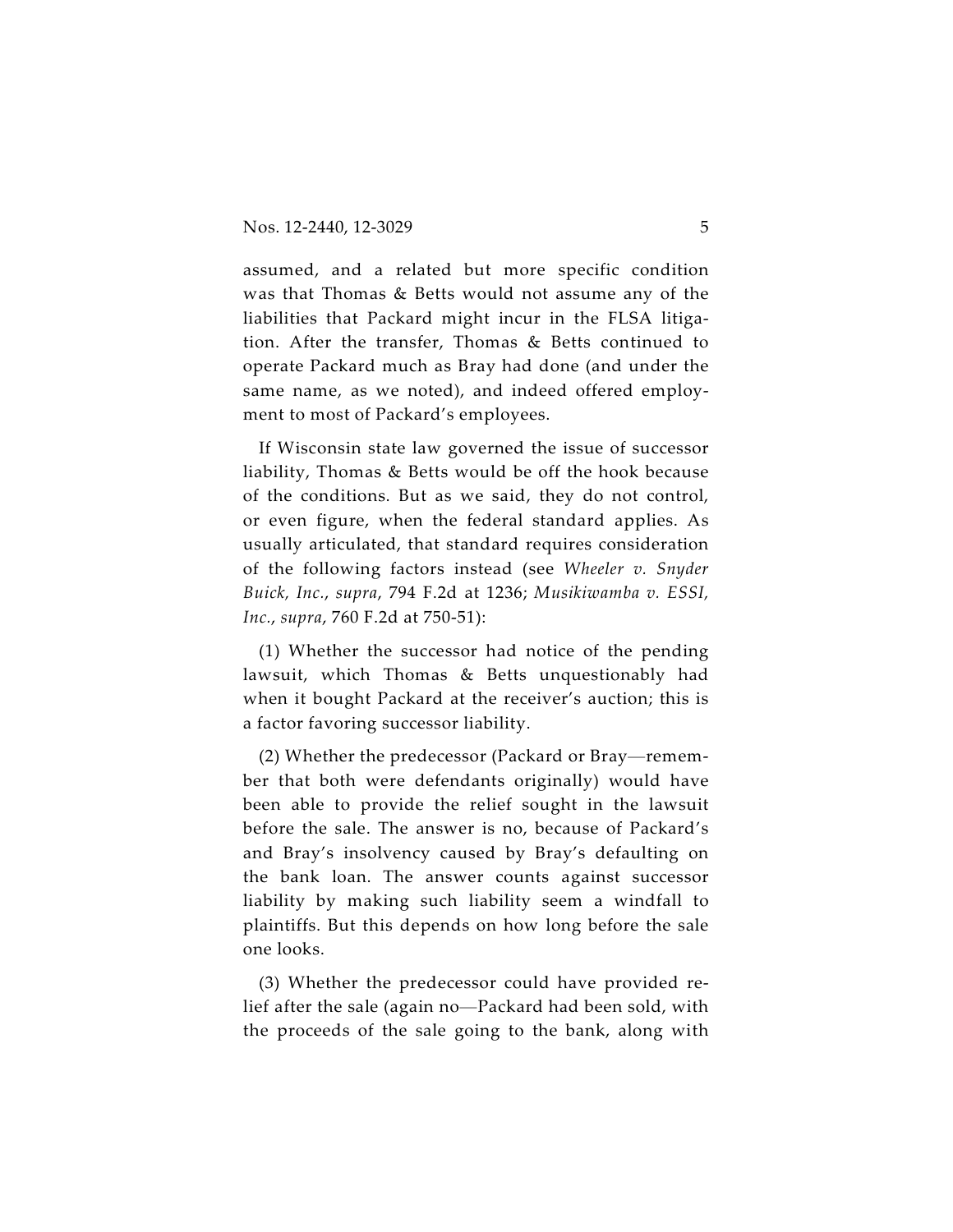assumed, and a related but more specific condition was that Thomas & Betts would not assume any of the liabilities that Packard might incur in the FLSA litigation. After the transfer, Thomas & Betts continued to operate Packard much as Bray had done (and under the same name, as we noted), and indeed offered employment to most of Packard's employees.

If Wisconsin state law governed the issue of successor liability, Thomas & Betts would be off the hook because of the conditions. But as we said, they do not control, or even figure, when the federal standard applies. As usually articulated, that standard requires consideration of the following factors instead (see *Wheeler v. Snyder Buick, Inc.*, *supra*, 794 F.2d at 1236; *Musikiwamba v. ESSI, Inc.*, *supra*, 760 F.2d at 750-51):

(1) Whether the successor had notice of the pending lawsuit, which Thomas & Betts unquestionably had when it bought Packard at the receiver's auction; this is a factor favoring successor liability.

(2) Whether the predecessor (Packard or Bray—remember that both were defendants originally) would have been able to provide the relief sought in the lawsuit before the sale. The answer is no, because of Packard's and Bray's insolvency caused by Bray's defaulting on the bank loan. The answer counts against successor liability by making such liability seem a windfall to plaintiffs. But this depends on how long before the sale one looks.

(3) Whether the predecessor could have provided relief after the sale (again no—Packard had been sold, with the proceeds of the sale going to the bank, along with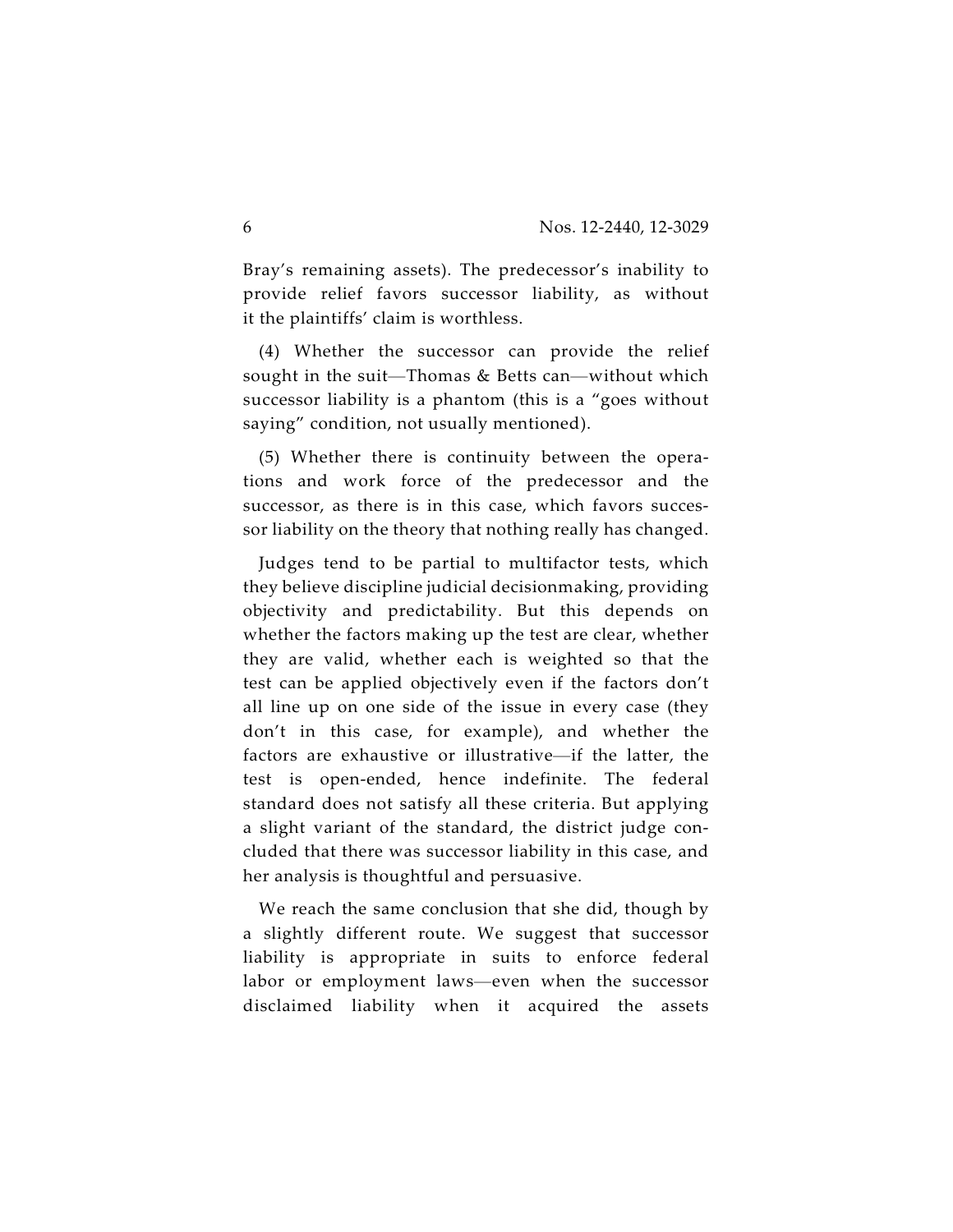Bray's remaining assets). The predecessor's inability to provide relief favors successor liability, as without it the plaintiffs' claim is worthless.

(4) Whether the successor can provide the relief sought in the suit—Thomas & Betts can—without which successor liability is a phantom (this is a "goes without saying" condition, not usually mentioned).

(5) Whether there is continuity between the operations and work force of the predecessor and the successor, as there is in this case, which favors successor liability on the theory that nothing really has changed.

Judges tend to be partial to multifactor tests, which they believe discipline judicial decisionmaking, providing objectivity and predictability. But this depends on whether the factors making up the test are clear, whether they are valid, whether each is weighted so that the test can be applied objectively even if the factors don't all line up on one side of the issue in every case (they don't in this case, for example), and whether the factors are exhaustive or illustrative—if the latter, the test is open-ended, hence indefinite. The federal standard does not satisfy all these criteria. But applying a slight variant of the standard, the district judge concluded that there was successor liability in this case, and her analysis is thoughtful and persuasive.

We reach the same conclusion that she did, though by a slightly different route. We suggest that successor liability is appropriate in suits to enforce federal labor or employment laws—even when the successor disclaimed liability when it acquired the assets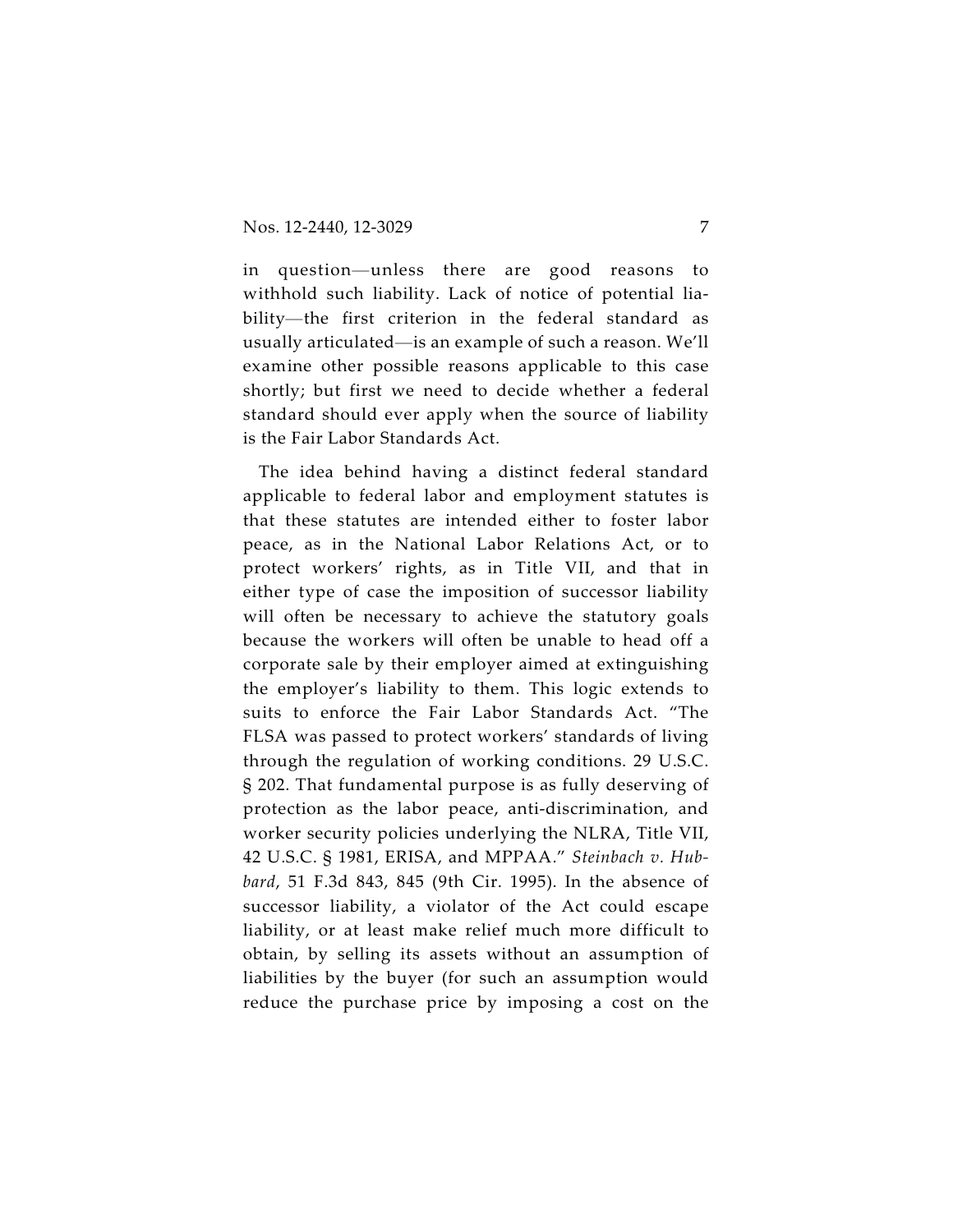in question—unless there are good reasons to withhold such liability. Lack of notice of potential liability—the first criterion in the federal standard as usually articulated—is an example of such a reason. We'll examine other possible reasons applicable to this case shortly; but first we need to decide whether a federal standard should ever apply when the source of liability is the Fair Labor Standards Act.

The idea behind having a distinct federal standard applicable to federal labor and employment statutes is that these statutes are intended either to foster labor peace, as in the National Labor Relations Act, or to protect workers' rights, as in Title VII, and that in either type of case the imposition of successor liability will often be necessary to achieve the statutory goals because the workers will often be unable to head off a corporate sale by their employer aimed at extinguishing the employer's liability to them. This logic extends to suits to enforce the Fair Labor Standards Act. "The FLSA was passed to protect workers' standards of living through the regulation of working conditions. 29 U.S.C. § 202. That fundamental purpose is as fully deserving of protection as the labor peace, anti-discrimination, and worker security policies underlying the NLRA, Title VII, 42 U.S.C. § 1981, ERISA, and MPPAA." *Steinbach v. Hubbard*, 51 F.3d 843, 845 (9th Cir. 1995). In the absence of successor liability, a violator of the Act could escape liability, or at least make relief much more difficult to obtain, by selling its assets without an assumption of liabilities by the buyer (for such an assumption would reduce the purchase price by imposing a cost on the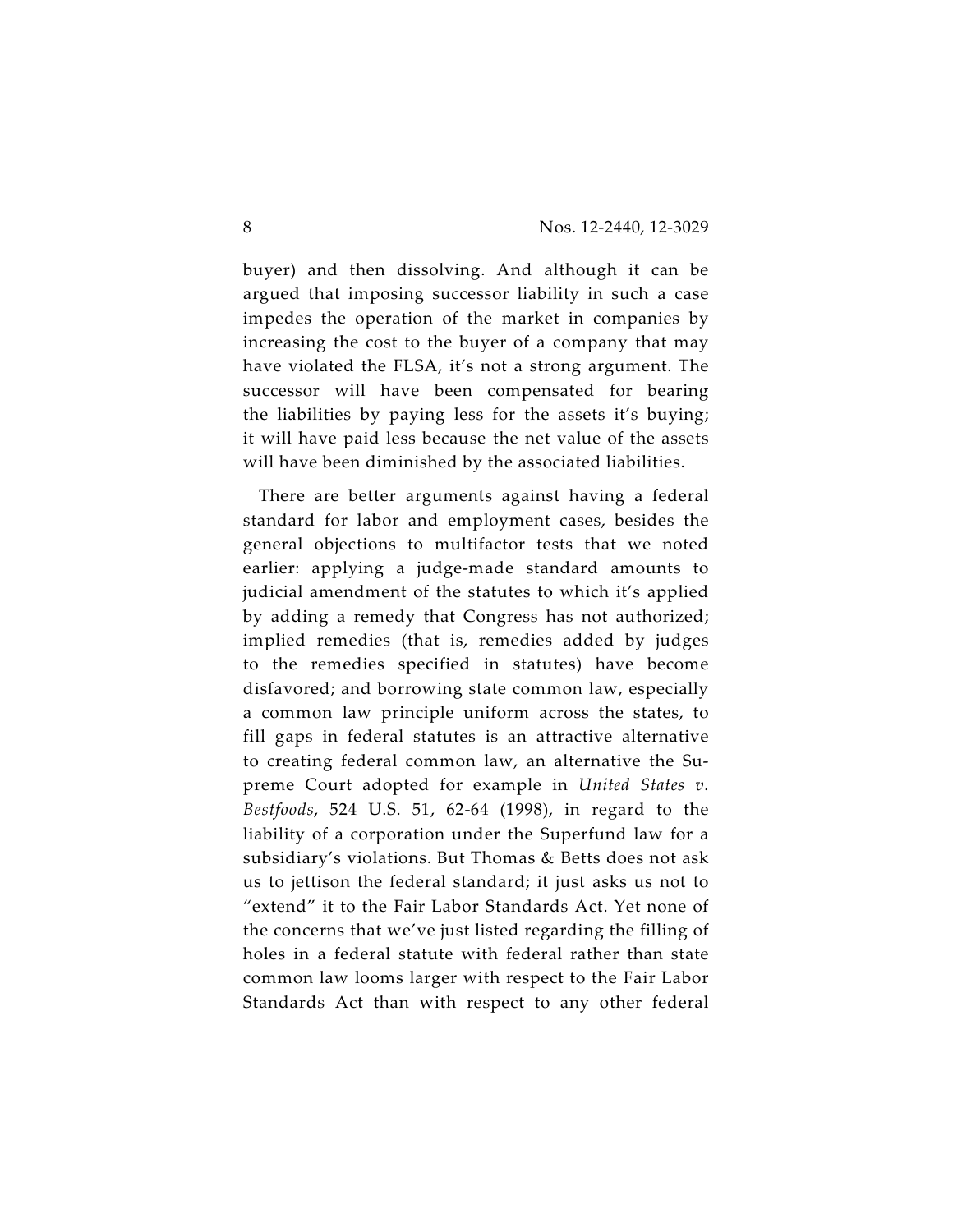buyer) and then dissolving. And although it can be argued that imposing successor liability in such a case impedes the operation of the market in companies by increasing the cost to the buyer of a company that may have violated the FLSA, it's not a strong argument. The successor will have been compensated for bearing the liabilities by paying less for the assets it's buying; it will have paid less because the net value of the assets will have been diminished by the associated liabilities.

There are better arguments against having a federal standard for labor and employment cases, besides the general objections to multifactor tests that we noted earlier: applying a judge-made standard amounts to judicial amendment of the statutes to which it's applied by adding a remedy that Congress has not authorized; implied remedies (that is, remedies added by judges to the remedies specified in statutes) have become disfavored; and borrowing state common law, especially a common law principle uniform across the states, to fill gaps in federal statutes is an attractive alternative to creating federal common law, an alternative the Supreme Court adopted for example in *United States v. Bestfoods*, 524 U.S. 51, 62-64 (1998), in regard to the liability of a corporation under the Superfund law for a subsidiary's violations. But Thomas & Betts does not ask us to jettison the federal standard; it just asks us not to "extend" it to the Fair Labor Standards Act. Yet none of the concerns that we've just listed regarding the filling of holes in a federal statute with federal rather than state common law looms larger with respect to the Fair Labor Standards Act than with respect to any other federal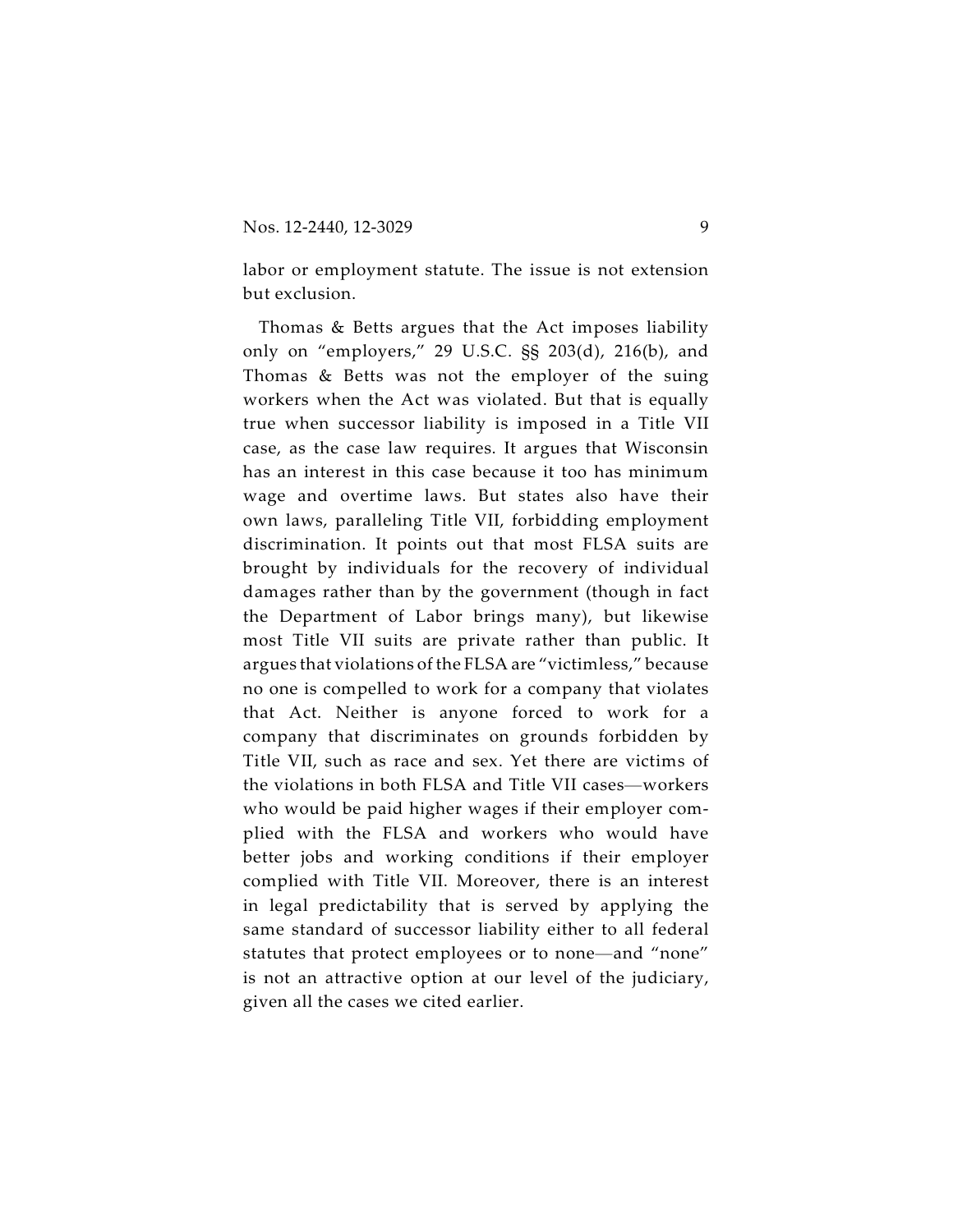labor or employment statute. The issue is not extension but exclusion.

Thomas & Betts argues that the Act imposes liability only on "employers," 29 U.S.C. §§ 203(d), 216(b), and Thomas & Betts was not the employer of the suing workers when the Act was violated. But that is equally true when successor liability is imposed in a Title VII case, as the case law requires. It argues that Wisconsin has an interest in this case because it too has minimum wage and overtime laws. But states also have their own laws, paralleling Title VII, forbidding employment discrimination. It points out that most FLSA suits are brought by individuals for the recovery of individual damages rather than by the government (though in fact the Department of Labor brings many), but likewise most Title VII suits are private rather than public. It argues that violations of the FLSA are "victimless," because no one is compelled to work for a company that violates that Act. Neither is anyone forced to work for a company that discriminates on grounds forbidden by Title VII, such as race and sex. Yet there are victims of the violations in both FLSA and Title VII cases—workers who would be paid higher wages if their employer complied with the FLSA and workers who would have better jobs and working conditions if their employer complied with Title VII. Moreover, there is an interest in legal predictability that is served by applying the same standard of successor liability either to all federal statutes that protect employees or to none—and "none" is not an attractive option at our level of the judiciary, given all the cases we cited earlier.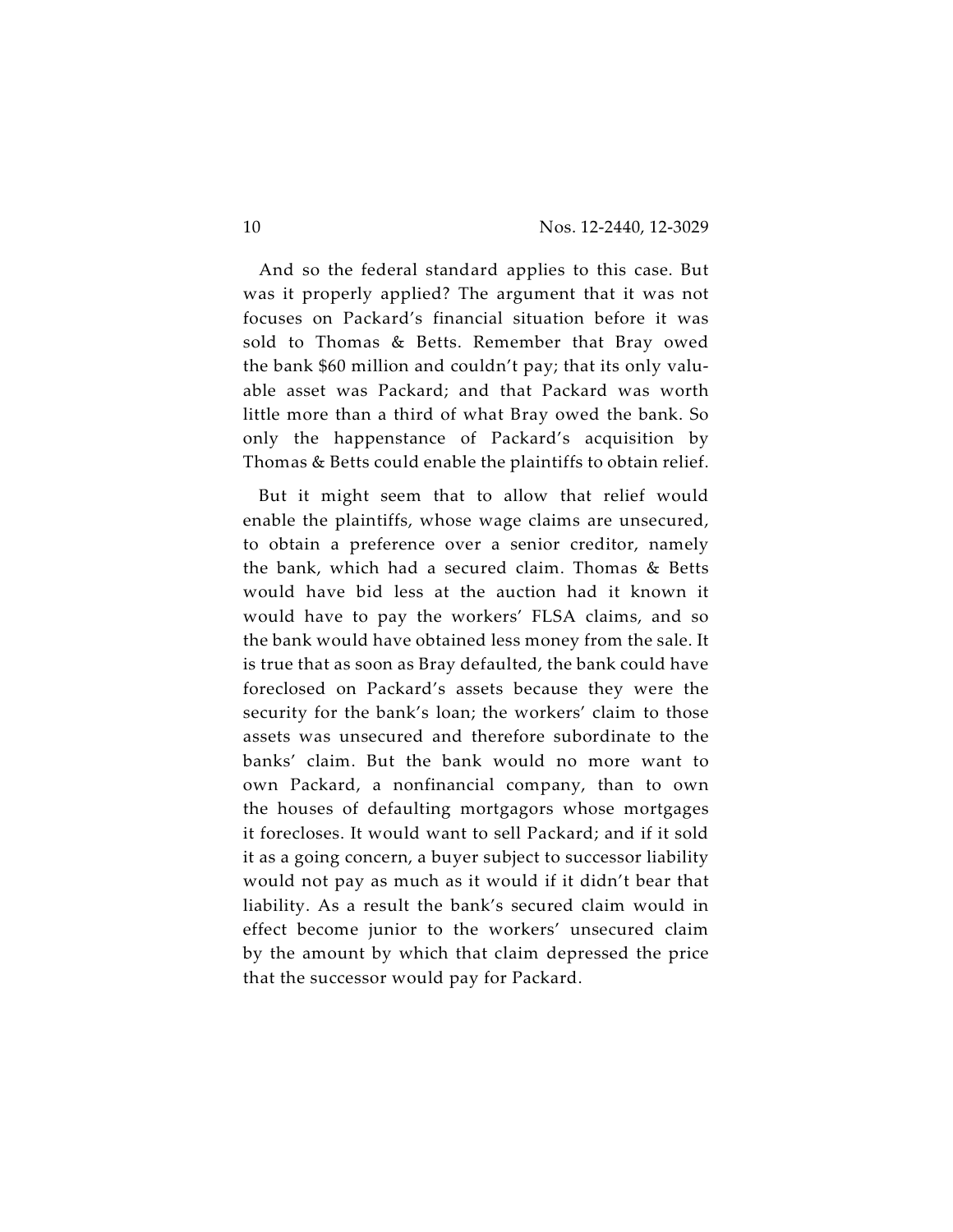And so the federal standard applies to this case. But was it properly applied? The argument that it was not focuses on Packard's financial situation before it was sold to Thomas & Betts. Remember that Bray owed the bank \$60 million and couldn't pay; that its only valuable asset was Packard; and that Packard was worth little more than a third of what Bray owed the bank. So only the happenstance of Packard's acquisition by Thomas & Betts could enable the plaintiffs to obtain relief.

But it might seem that to allow that relief would enable the plaintiffs, whose wage claims are unsecured, to obtain a preference over a senior creditor, namely the bank, which had a secured claim. Thomas & Betts would have bid less at the auction had it known it would have to pay the workers' FLSA claims, and so the bank would have obtained less money from the sale. It is true that as soon as Bray defaulted, the bank could have foreclosed on Packard's assets because they were the security for the bank's loan; the workers' claim to those assets was unsecured and therefore subordinate to the banks' claim. But the bank would no more want to own Packard, a nonfinancial company, than to own the houses of defaulting mortgagors whose mortgages it forecloses. It would want to sell Packard; and if it sold it as a going concern, a buyer subject to successor liability would not pay as much as it would if it didn't bear that liability. As a result the bank's secured claim would in effect become junior to the workers' unsecured claim by the amount by which that claim depressed the price that the successor would pay for Packard.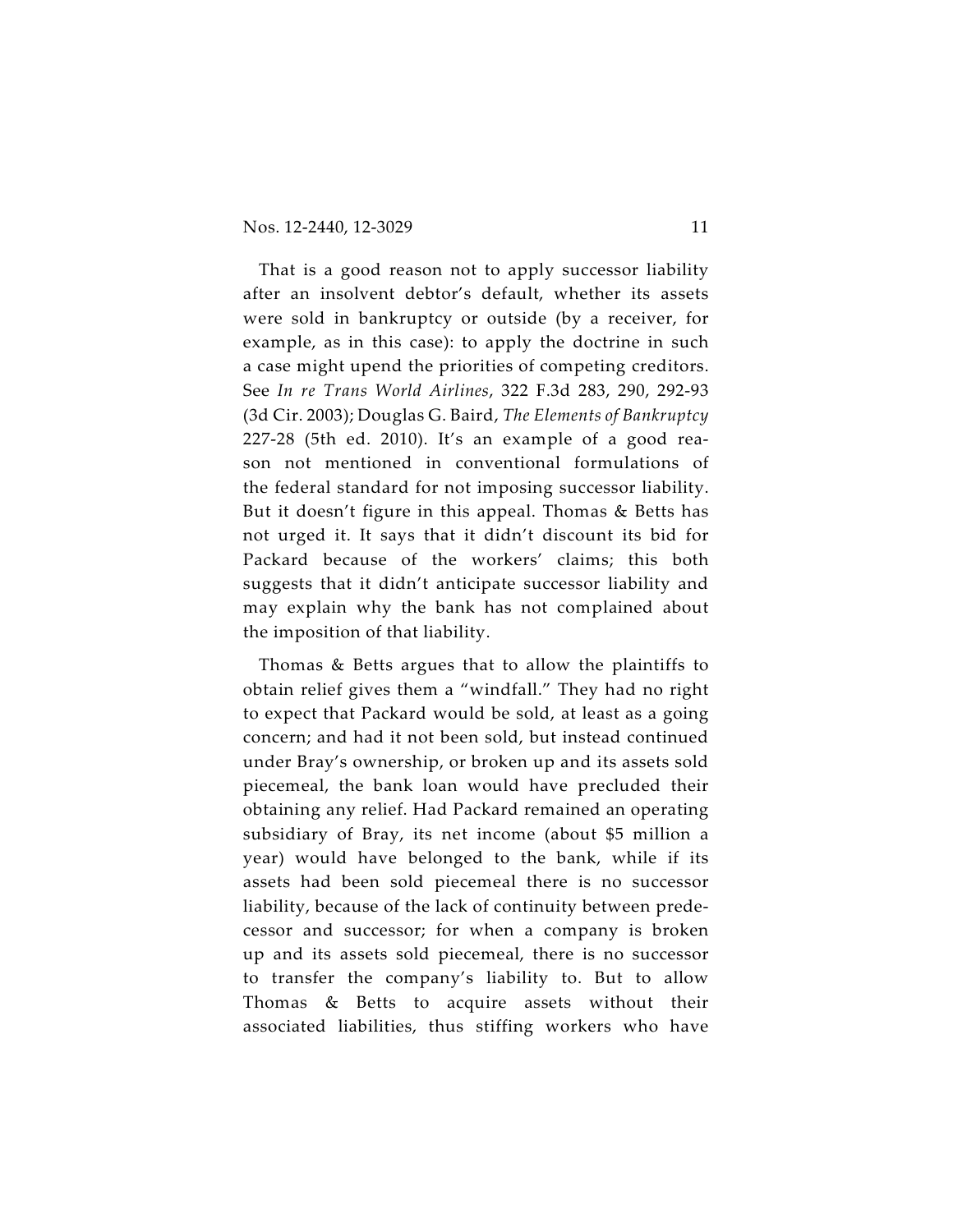That is a good reason not to apply successor liability after an insolvent debtor's default, whether its assets were sold in bankruptcy or outside (by a receiver, for example, as in this case): to apply the doctrine in such a case might upend the priorities of competing creditors. See *In re Trans World Airlines*, 322 F.3d 283, 290, 292-93 (3d Cir. 2003); Douglas G. Baird, *The Elements of Bankruptcy* 227-28 (5th ed. 2010). It's an example of a good reason not mentioned in conventional formulations of the federal standard for not imposing successor liability. But it doesn't figure in this appeal. Thomas & Betts has not urged it. It says that it didn't discount its bid for Packard because of the workers' claims; this both suggests that it didn't anticipate successor liability and may explain why the bank has not complained about the imposition of that liability.

Thomas & Betts argues that to allow the plaintiffs to obtain relief gives them a "windfall." They had no right to expect that Packard would be sold, at least as a going concern; and had it not been sold, but instead continued under Bray's ownership, or broken up and its assets sold piecemeal, the bank loan would have precluded their obtaining any relief. Had Packard remained an operating subsidiary of Bray, its net income (about \$5 million a year) would have belonged to the bank, while if its assets had been sold piecemeal there is no successor liability, because of the lack of continuity between predecessor and successor; for when a company is broken up and its assets sold piecemeal, there is no successor to transfer the company's liability to. But to allow Thomas & Betts to acquire assets without their associated liabilities, thus stiffing workers who have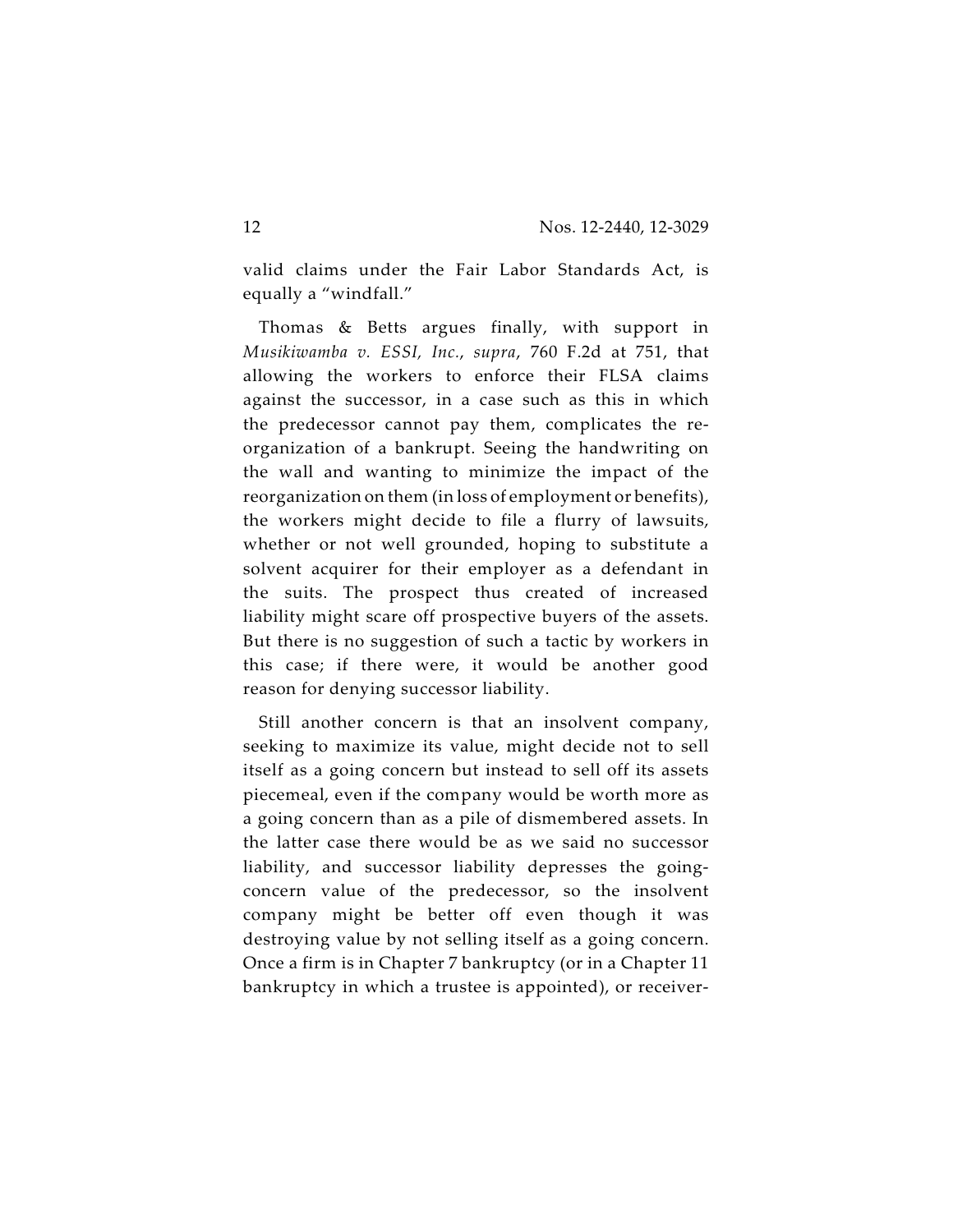valid claims under the Fair Labor Standards Act, is equally a "windfall."

Thomas & Betts argues finally, with support in *Musikiwamba v. ESSI, Inc.*, *supra*, 760 F.2d at 751, that allowing the workers to enforce their FLSA claims against the successor, in a case such as this in which the predecessor cannot pay them, complicates the reorganization of a bankrupt. Seeing the handwriting on the wall and wanting to minimize the impact of the reorganization on them (in loss of employment or benefits), the workers might decide to file a flurry of lawsuits, whether or not well grounded, hoping to substitute a solvent acquirer for their employer as a defendant in the suits. The prospect thus created of increased liability might scare off prospective buyers of the assets. But there is no suggestion of such a tactic by workers in this case; if there were, it would be another good reason for denying successor liability.

Still another concern is that an insolvent company, seeking to maximize its value, might decide not to sell itself as a going concern but instead to sell off its assets piecemeal, even if the company would be worth more as a going concern than as a pile of dismembered assets. In the latter case there would be as we said no successor liability, and successor liability depresses the goingconcern value of the predecessor, so the insolvent company might be better off even though it was destroying value by not selling itself as a going concern. Once a firm is in Chapter 7 bankruptcy (or in a Chapter 11 bankruptcy in which a trustee is appointed), or receiver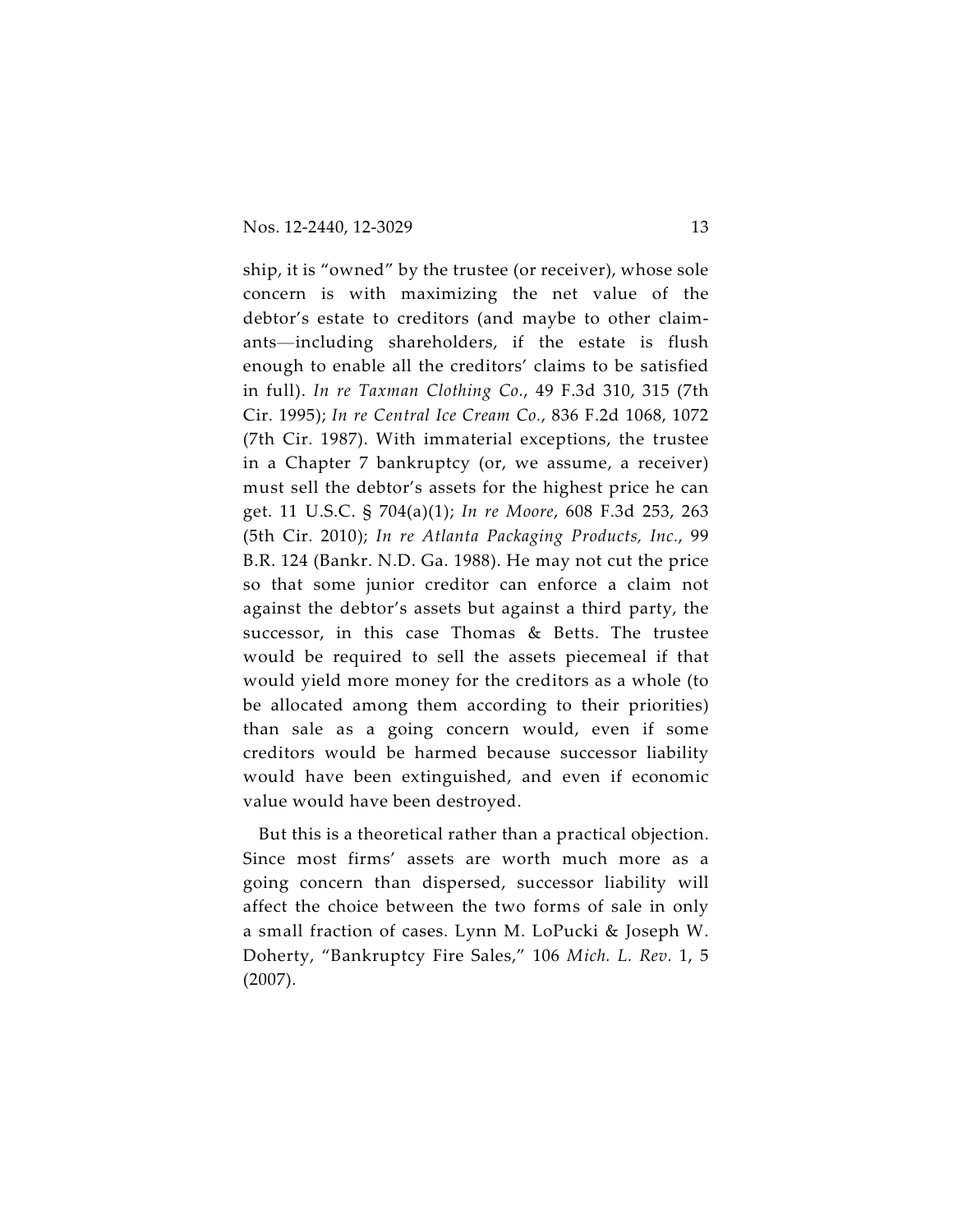ship, it is "owned" by the trustee (or receiver), whose sole concern is with maximizing the net value of the debtor's estate to creditors (and maybe to other claimants—including shareholders, if the estate is flush enough to enable all the creditors' claims to be satisfied in full). *In re Taxman Clothing Co.*, 49 F.3d 310, 315 (7th Cir. 1995); *In re Central Ice Cream Co.*, 836 F.2d 1068, 1072 (7th Cir. 1987). With immaterial exceptions, the trustee in a Chapter 7 bankruptcy (or, we assume, a receiver) must sell the debtor's assets for the highest price he can get. 11 U.S.C. § 704(a)(1); *In re Moore*, 608 F.3d 253, 263 (5th Cir. 2010); *In re Atlanta Packaging Products, Inc.*, 99 B.R. 124 (Bankr. N.D. Ga. 1988). He may not cut the price so that some junior creditor can enforce a claim not against the debtor's assets but against a third party, the successor, in this case Thomas & Betts. The trustee would be required to sell the assets piecemeal if that would yield more money for the creditors as a whole (to be allocated among them according to their priorities) than sale as a going concern would, even if some creditors would be harmed because successor liability would have been extinguished, and even if economic value would have been destroyed.

But this is a theoretical rather than a practical objection. Since most firms' assets are worth much more as a going concern than dispersed, successor liability will affect the choice between the two forms of sale in only a small fraction of cases. Lynn M. LoPucki & Joseph W. Doherty, "Bankruptcy Fire Sales," 106 *Mich. L. Rev.* 1, 5 (2007).